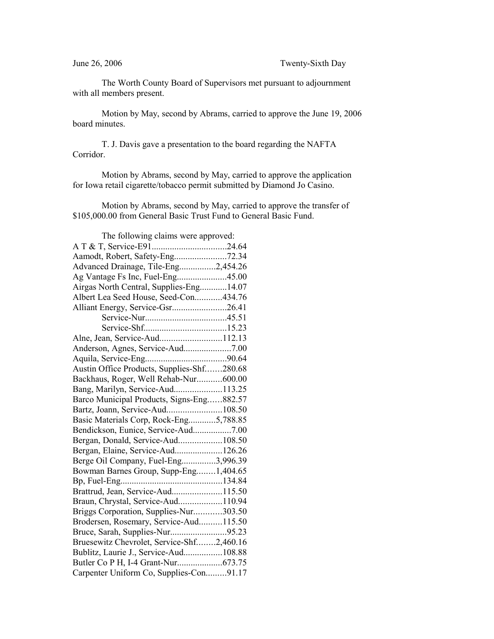The Worth County Board of Supervisors met pursuant to adjournment with all members present.

Motion by May, second by Abrams, carried to approve the June 19, 2006 board minutes.

T. J. Davis gave a presentation to the board regarding the NAFTA Corridor.

Motion by Abrams, second by May, carried to approve the application for Iowa retail cigarette/tobacco permit submitted by Diamond Jo Casino.

Motion by Abrams, second by May, carried to approve the transfer of \$105,000.00 from General Basic Trust Fund to General Basic Fund.

| The following claims were approved:        |  |
|--------------------------------------------|--|
|                                            |  |
|                                            |  |
| Advanced Drainage, Tile-Eng2,454.26        |  |
| Ag Vantage Fs Inc, Fuel-Eng45.00           |  |
| Airgas North Central, Supplies-Eng 14.07   |  |
| Albert Lea Seed House, Seed-Con434.76      |  |
| Alliant Energy, Service-Gsr26.41           |  |
|                                            |  |
|                                            |  |
| Alne, Jean, Service-Aud112.13              |  |
|                                            |  |
|                                            |  |
| Austin Office Products, Supplies-Shf280.68 |  |
| Backhaus, Roger, Well Rehab-Nur600.00      |  |
| Bang, Marilyn, Service-Aud113.25           |  |
| Barco Municipal Products, Signs-Eng882.57  |  |
| Bartz, Joann, Service-Aud108.50            |  |
| Basic Materials Corp, Rock-Eng5,788.85     |  |
| Bendickson, Eunice, Service-Aud7.00        |  |
|                                            |  |
| Bergan, Elaine, Service-Aud126.26          |  |
| Berge Oil Company, Fuel-Eng3,996.39        |  |
| Bowman Barnes Group, Supp-Eng1,404.65      |  |
|                                            |  |
| Brattrud, Jean, Service-Aud115.50          |  |
| Braun, Chrystal, Service-Aud110.94         |  |
| Briggs Corporation, Supplies-Nur303.50     |  |
| Brodersen, Rosemary, Service-Aud115.50     |  |
| Bruce, Sarah, Supplies-Nur95.23            |  |
| Bruesewitz Chevrolet, Service-Shf2,460.16  |  |
| Bublitz, Laurie J., Service-Aud108.88      |  |
|                                            |  |
| Carpenter Uniform Co, Supplies-Con91.17    |  |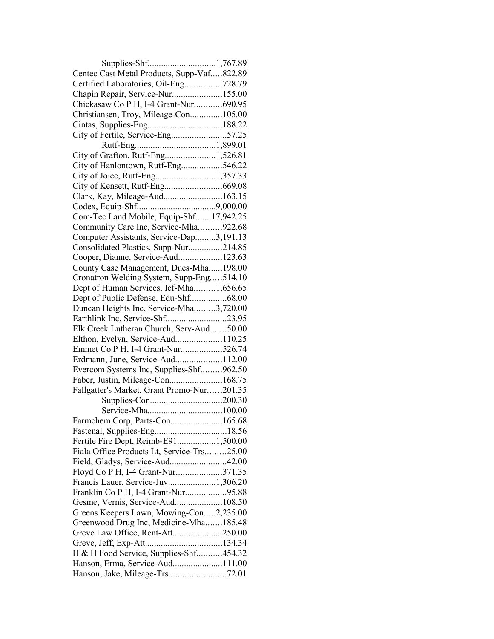| Supplies-Shf1,767.89                       |  |
|--------------------------------------------|--|
| Centec Cast Metal Products, Supp-Vaf822.89 |  |
| Certified Laboratories, Oil-Eng728.79      |  |
| Chapin Repair, Service-Nur155.00           |  |
| Chickasaw Co P H, I-4 Grant-Nur690.95      |  |
| Christiansen, Troy, Mileage-Con105.00      |  |
|                                            |  |
| City of Fertile, Service-Eng57.25          |  |
|                                            |  |
| City of Grafton, Rutf-Eng1,526.81          |  |
| City of Hanlontown, Rutf-Eng546.22         |  |
|                                            |  |
|                                            |  |
| Clark, Kay, Mileage-Aud163.15              |  |
|                                            |  |
| Com-Tec Land Mobile, Equip-Shf17,942.25    |  |
| Community Care Inc, Service-Mha922.68      |  |
| Computer Assistants, Service-Dap3,191.13   |  |
|                                            |  |
| Consolidated Plastics, Supp-Nur214.85      |  |
| Cooper, Dianne, Service-Aud123.63          |  |
| County Case Management, Dues-Mha198.00     |  |
| Cronatron Welding System, Supp-Eng514.10   |  |
| Dept of Human Services, Icf-Mha1,656.65    |  |
| Dept of Public Defense, Edu-Shf68.00       |  |
| Duncan Heights Inc, Service-Mha3,720.00    |  |
| Earthlink Inc, Service-Shf23.95            |  |
| Elk Creek Lutheran Church, Serv-Aud50.00   |  |
| Elthon, Evelyn, Service-Aud110.25          |  |
| Emmet Co P H, I-4 Grant-Nur526.74          |  |
| Erdmann, June, Service-Aud112.00           |  |
| Evercom Systems Inc, Supplies-Shf962.50    |  |
| Faber, Justin, Mileage-Con168.75           |  |
| Fallgatter's Market, Grant Promo-Nur201.35 |  |
|                                            |  |
|                                            |  |
| Farmchem Corp, Parts-Con165.68             |  |
|                                            |  |
| Fertile Fire Dept, Reimb-E911,500.00       |  |
| Fiala Office Products Lt, Service-Trs25.00 |  |
| Field, Gladys, Service-Aud42.00            |  |
| Floyd Co P H, I-4 Grant-Nur371.35          |  |
| Francis Lauer, Service-Juv1,306.20         |  |
| Franklin Co P H, I-4 Grant-Nur95.88        |  |
| Gesme, Vernis, Service-Aud108.50           |  |
| Greens Keepers Lawn, Mowing-Con2,235.00    |  |
| Greenwood Drug Inc, Medicine-Mha185.48     |  |
| Greve Law Office, Rent-Att250.00           |  |
|                                            |  |
| H & H Food Service, Supplies-Shf454.32     |  |
| Hanson, Erma, Service-Aud111.00            |  |
| Hanson, Jake, Mileage-Trs72.01             |  |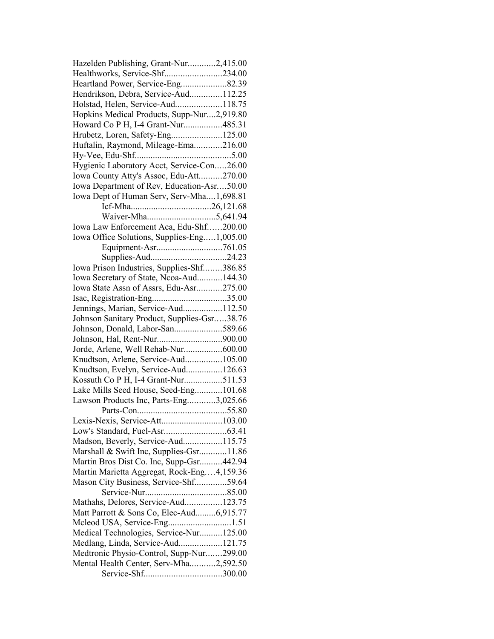| Hazelden Publishing, Grant-Nur2,415.00      |
|---------------------------------------------|
| Healthworks, Service-Shf234.00              |
| Heartland Power, Service-Eng82.39           |
| Hendrikson, Debra, Service-Aud112.25        |
| Holstad, Helen, Service-Aud118.75           |
| Hopkins Medical Products, Supp-Nur2,919.80  |
| Howard Co P H, I-4 Grant-Nur485.31          |
| Hrubetz, Loren, Safety-Eng125.00            |
| Huftalin, Raymond, Mileage-Ema216.00        |
|                                             |
| Hygienic Laboratory Acct, Service-Con26.00  |
| Iowa County Atty's Assoc, Edu-Att270.00     |
| Iowa Department of Rev, Education-Asr50.00  |
| Iowa Dept of Human Serv, Serv-Mha1,698.81   |
|                                             |
|                                             |
| Iowa Law Enforcement Aca, Edu-Shf200.00     |
| Iowa Office Solutions, Supplies-Eng1,005.00 |
|                                             |
|                                             |
| Iowa Prison Industries, Supplies-Shf386.85  |
|                                             |
| Iowa Secretary of State, Ncoa-Aud144.30     |
| Iowa State Assn of Assrs, Edu-Asr275.00     |
|                                             |
| Jennings, Marian, Service-Aud112.50         |
| Johnson Sanitary Product, Supplies-Gsr38.76 |
| Johnson, Donald, Labor-San589.66            |
|                                             |
| Jorde, Arlene, Well Rehab-Nur600.00         |
| Knudtson, Arlene, Service-Aud105.00         |
| Knudtson, Evelyn, Service-Aud126.63         |
| Kossuth Co P H, I-4 Grant-Nur511.53         |
| Lake Mills Seed House, Seed-Eng101.68       |
| Lawson Products Inc, Parts-Eng3,025.66      |
|                                             |
|                                             |
|                                             |
| Madson, Beverly, Service-Aud115.75          |
| Marshall & Swift Inc, Supplies-Gsr11.86     |
| Martin Bros Dist Co. Inc, Supp-Gsr442.94    |
| Martin Marietta Aggregat, Rock-Eng4,159.36  |
| Mason City Business, Service-Shf59.64       |
|                                             |
| Mathahs, Delores, Service-Aud123.75         |
| Matt Parrott & Sons Co, Elec-Aud6,915.77    |
| Mcleod USA, Service-Eng1.51                 |
| Medical Technologies, Service-Nur125.00     |
| Medlang, Linda, Service-Aud121.75           |
| Medtronic Physio-Control, Supp-Nur299.00    |
| Mental Health Center, Serv-Mha2,592.50      |
|                                             |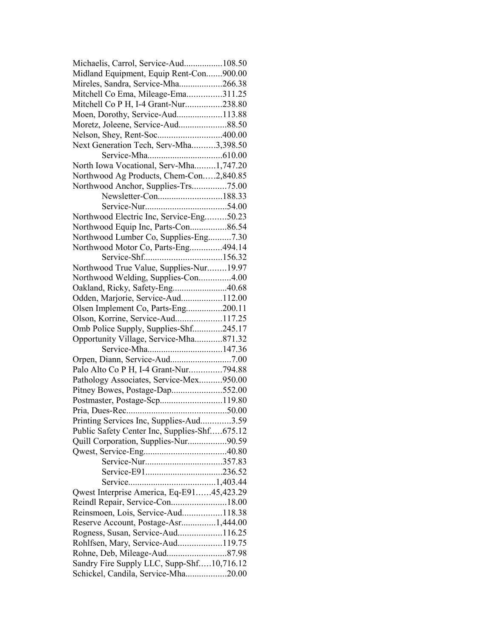| Michaelis, Carrol, Service-Aud108.50         |  |
|----------------------------------------------|--|
| Midland Equipment, Equip Rent-Con900.00      |  |
| Mireles, Sandra, Service-Mha266.38           |  |
| Mitchell Co Ema, Mileage-Ema311.25           |  |
| Mitchell Co P H, I-4 Grant-Nur238.80         |  |
| Moen, Dorothy, Service-Aud113.88             |  |
| Moretz, Joleene, Service-Aud88.50            |  |
|                                              |  |
| Next Generation Tech, Serv-Mha3,398.50       |  |
|                                              |  |
| North Iowa Vocational, Serv-Mha1,747.20      |  |
| Northwood Ag Products, Chem-Con2,840.85      |  |
| Northwood Anchor, Supplies-Trs75.00          |  |
| Newsletter-Con188.33                         |  |
|                                              |  |
| Northwood Electric Inc, Service-Eng50.23     |  |
| Northwood Equip Inc, Parts-Con86.54          |  |
| Northwood Lumber Co, Supplies-Eng7.30        |  |
| Northwood Motor Co, Parts-Eng494.14          |  |
|                                              |  |
|                                              |  |
| Northwood True Value, Supplies-Nur19.97      |  |
| Northwood Welding, Supplies-Con4.00          |  |
| Oakland, Ricky, Safety-Eng40.68              |  |
| Odden, Marjorie, Service-Aud112.00           |  |
| Olsen Implement Co, Parts-Eng200.11          |  |
| Olson, Korrine, Service-Aud117.25            |  |
| Omb Police Supply, Supplies-Shf245.17        |  |
| Opportunity Village, Service-Mha871.32       |  |
| Service-Mha147.36                            |  |
|                                              |  |
| Palo Alto Co P H, I-4 Grant-Nur794.88        |  |
| Pathology Associates, Service-Mex950.00      |  |
| Pitney Bowes, Postage-Dap552.00              |  |
| Postmaster, Postage-Scp119.80                |  |
|                                              |  |
| Printing Services Inc, Supplies-Aud3.59      |  |
| Public Safety Center Inc, Supplies-Shf675.12 |  |
| Quill Corporation, Supplies-Nur90.59         |  |
|                                              |  |
|                                              |  |
|                                              |  |
|                                              |  |
| Qwest Interprise America, Eq-E9145,423.29    |  |
| Reindl Repair, Service-Con18.00              |  |
| Reinsmoen, Lois, Service-Aud118.38           |  |
| Reserve Account, Postage-Asr1,444.00         |  |
| Rogness, Susan, Service-Aud116.25            |  |
| Rohlfsen, Mary, Service-Aud119.75            |  |
| Rohne, Deb, Mileage-Aud87.98                 |  |
| Sandry Fire Supply LLC, Supp-Shf10,716.12    |  |
| Schickel, Candila, Service-Mha20.00          |  |